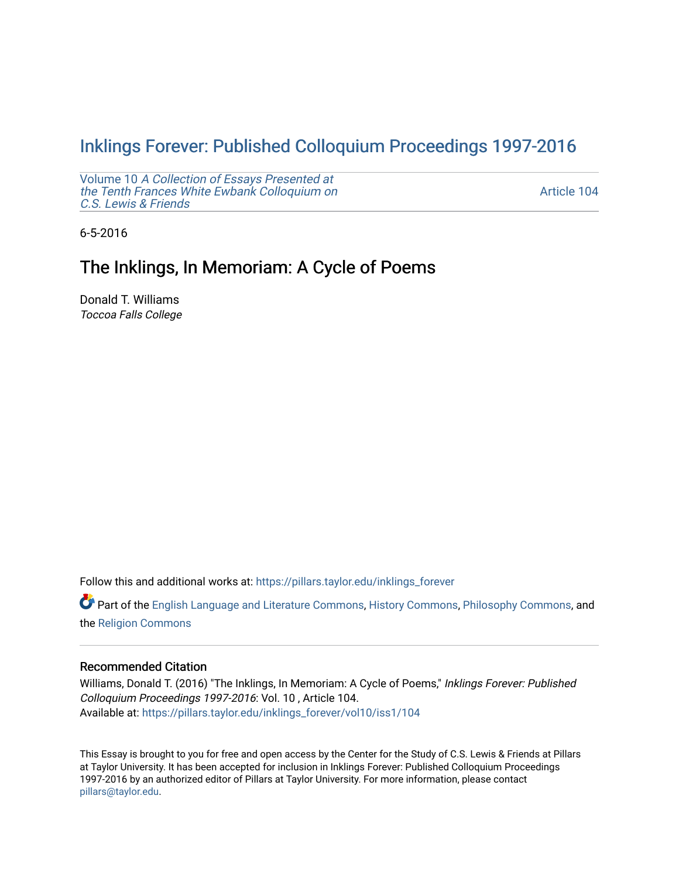# Inklings Forever: Published Colloquium Proceedings 1997-2016

Volume 10 [A Collection of Essays Presented at](https://pillars.taylor.edu/inklings_forever/vol10) [the Tenth Frances White Ewbank Colloquium on](https://pillars.taylor.edu/inklings_forever/vol10) [C.S. Lewis & Friends](https://pillars.taylor.edu/inklings_forever/vol10) 

[Article 104](https://pillars.taylor.edu/inklings_forever/vol10/iss1/104) 

6-5-2016

# The Inklings, In Memoriam: A Cycle of Poems

Donald T. Williams Toccoa Falls College

Follow this and additional works at: [https://pillars.taylor.edu/inklings\\_forever](https://pillars.taylor.edu/inklings_forever?utm_source=pillars.taylor.edu%2Finklings_forever%2Fvol10%2Fiss1%2F104&utm_medium=PDF&utm_campaign=PDFCoverPages)

Part of the [English Language and Literature Commons](http://network.bepress.com/hgg/discipline/455?utm_source=pillars.taylor.edu%2Finklings_forever%2Fvol10%2Fiss1%2F104&utm_medium=PDF&utm_campaign=PDFCoverPages), [History Commons](http://network.bepress.com/hgg/discipline/489?utm_source=pillars.taylor.edu%2Finklings_forever%2Fvol10%2Fiss1%2F104&utm_medium=PDF&utm_campaign=PDFCoverPages), [Philosophy Commons](http://network.bepress.com/hgg/discipline/525?utm_source=pillars.taylor.edu%2Finklings_forever%2Fvol10%2Fiss1%2F104&utm_medium=PDF&utm_campaign=PDFCoverPages), and the [Religion Commons](http://network.bepress.com/hgg/discipline/538?utm_source=pillars.taylor.edu%2Finklings_forever%2Fvol10%2Fiss1%2F104&utm_medium=PDF&utm_campaign=PDFCoverPages) 

### Recommended Citation

Williams, Donald T. (2016) "The Inklings, In Memoriam: A Cycle of Poems," Inklings Forever: Published Colloquium Proceedings 1997-2016: Vol. 10 , Article 104. Available at: [https://pillars.taylor.edu/inklings\\_forever/vol10/iss1/104](https://pillars.taylor.edu/inklings_forever/vol10/iss1/104?utm_source=pillars.taylor.edu%2Finklings_forever%2Fvol10%2Fiss1%2F104&utm_medium=PDF&utm_campaign=PDFCoverPages)

This Essay is brought to you for free and open access by the Center for the Study of C.S. Lewis & Friends at Pillars at Taylor University. It has been accepted for inclusion in Inklings Forever: Published Colloquium Proceedings 1997-2016 by an authorized editor of Pillars at Taylor University. For more information, please contact [pillars@taylor.edu](mailto:pillars@taylor.edu).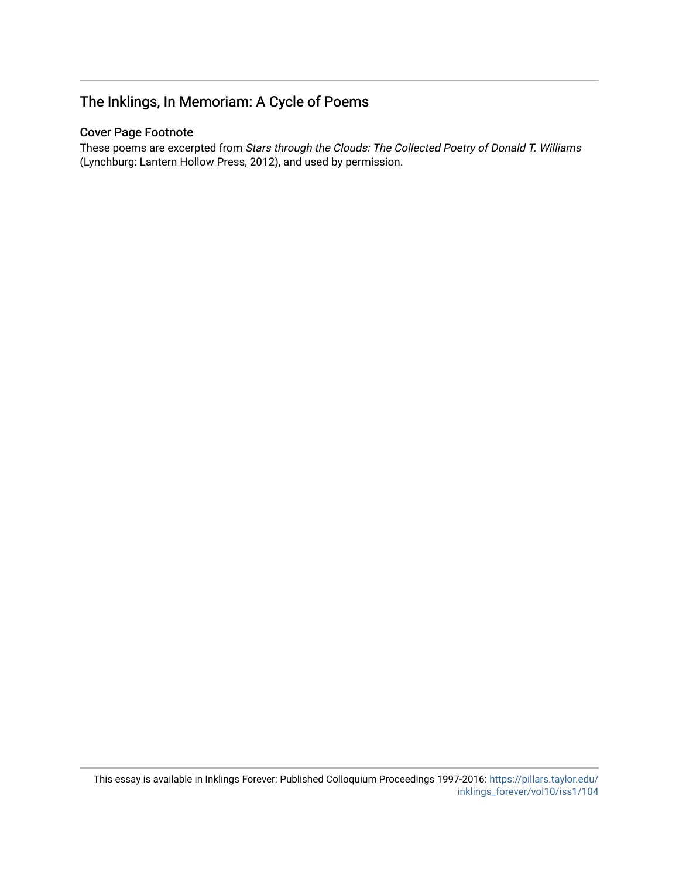# The Inklings, In Memoriam: A Cycle of Poems

# Cover Page Footnote

These poems are excerpted from Stars through the Clouds: The Collected Poetry of Donald T. Williams (Lynchburg: Lantern Hollow Press, 2012), and used by permission.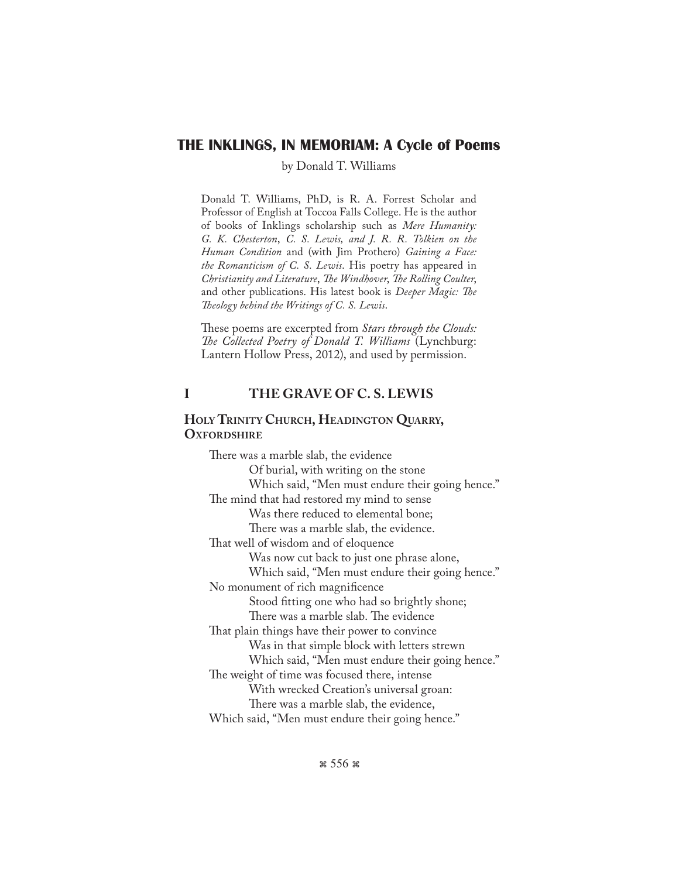# **THE INKLINGS, IN MEMORIAM: A Cycle of Poems**

by Donald T. Williams

Donald T. Williams, PhD, is R. A. Forrest Scholar and Professor of English at Toccoa Falls College. He is the author of books of Inklings scholarship such as *Mere Humanity: G. K. Chesterton*, *C. S. Lewis, and J. R. R. Tolkien on the Human Condition* and (with Jim Prothero) *Gaining a Face: the Romanticism of C. S. Lewis*. His poetry has appeared in *Christianity and Literature*, *The Windhover*, *The Rolling Coulter*, and other publications. His latest book is *Deeper Magic: The Theology behind the Writings of C. S. Lewis*.

These poems are excerpted from *Stars through the Clouds: The Collected Poetry of Donald T. Williams* (Lynchburg: Lantern Hollow Press, 2012), and used by permission.

# **I THE GRAVE OF C. S. LEWIS**

## **Holy Trinity Church, Headington Quarry, OXFORDSHIRE**

There was a marble slab, the evidence Of burial, with writing on the stone Which said, "Men must endure their going hence." The mind that had restored my mind to sense Was there reduced to elemental bone; There was a marble slab, the evidence. That well of wisdom and of eloquence Was now cut back to just one phrase alone, Which said, "Men must endure their going hence." No monument of rich magnificence Stood fitting one who had so brightly shone; There was a marble slab. The evidence That plain things have their power to convince Was in that simple block with letters strewn Which said, "Men must endure their going hence." The weight of time was focused there, intense With wrecked Creation's universal groan: There was a marble slab, the evidence, Which said, "Men must endure their going hence."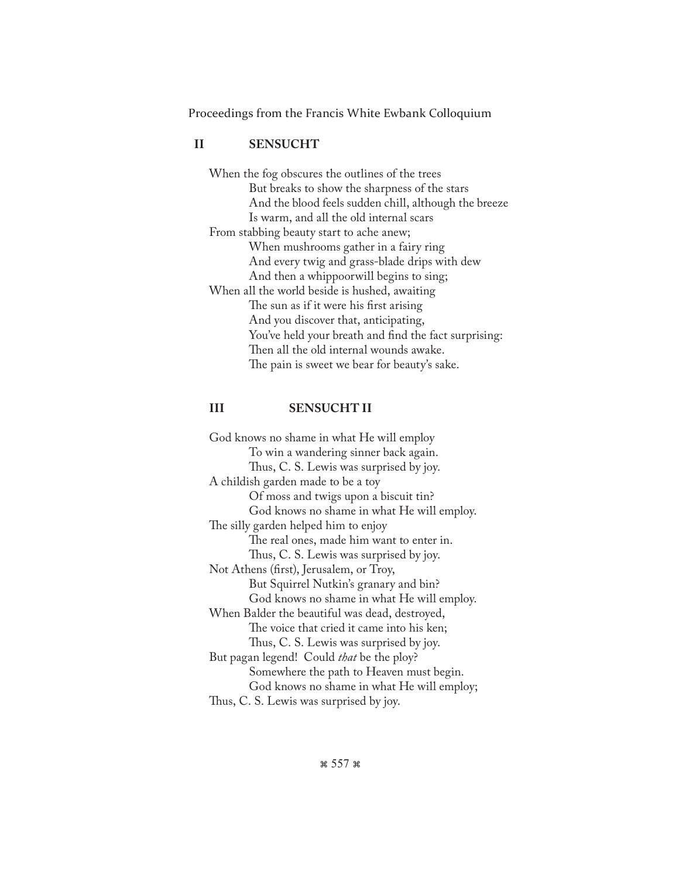### **II SENSUCHT**

When the fog obscures the outlines of the trees But breaks to show the sharpness of the stars And the blood feels sudden chill, although the breeze Is warm, and all the old internal scars From stabbing beauty start to ache anew; When mushrooms gather in a fairy ring And every twig and grass-blade drips with dew And then a whippoorwill begins to sing; When all the world beside is hushed, awaiting The sun as if it were his first arising And you discover that, anticipating, You've held your breath and find the fact surprising: Then all the old internal wounds awake. The pain is sweet we bear for beauty's sake.

### **III SENSUCHT II**

God knows no shame in what He will employ To win a wandering sinner back again. Thus, C. S. Lewis was surprised by joy. A childish garden made to be a toy Of moss and twigs upon a biscuit tin? God knows no shame in what He will employ. The silly garden helped him to enjoy The real ones, made him want to enter in. Thus, C. S. Lewis was surprised by joy. Not Athens (first), Jerusalem, or Troy, But Squirrel Nutkin's granary and bin? God knows no shame in what He will employ. When Balder the beautiful was dead, destroyed, The voice that cried it came into his ken; Thus, C. S. Lewis was surprised by joy. But pagan legend! Could *that* be the ploy? Somewhere the path to Heaven must begin. God knows no shame in what He will employ; Thus, C. S. Lewis was surprised by joy.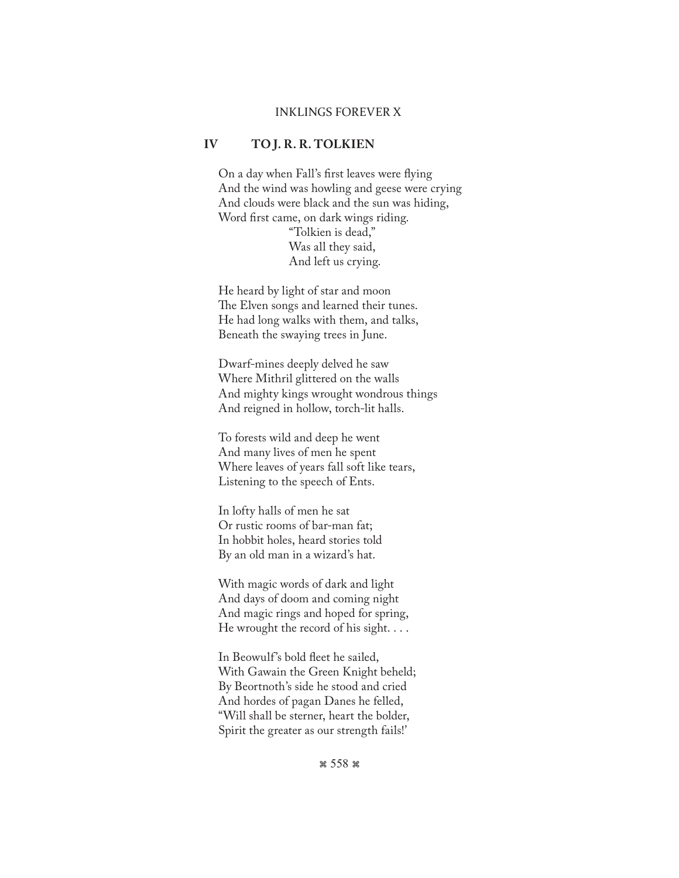#### INKLINGS FOREVER X

#### **IV TO J. R. R. TOLKIEN**

 On a day when Fall's first leaves were flying And the wind was howling and geese were crying And clouds were black and the sun was hiding, Word first came, on dark wings riding. "Tolkien is dead,"

 Was all they said, And left us crying.

 He heard by light of star and moon The Elven songs and learned their tunes. He had long walks with them, and talks, Beneath the swaying trees in June.

 Dwarf-mines deeply delved he saw Where Mithril glittered on the walls And mighty kings wrought wondrous things And reigned in hollow, torch-lit halls.

 To forests wild and deep he went And many lives of men he spent Where leaves of years fall soft like tears, Listening to the speech of Ents.

 In lofty halls of men he sat Or rustic rooms of bar-man fat; In hobbit holes, heard stories told By an old man in a wizard's hat.

 With magic words of dark and light And days of doom and coming night And magic rings and hoped for spring, He wrought the record of his sight. . . .

 In Beowulf's bold fleet he sailed, With Gawain the Green Knight beheld; By Beortnoth's side he stood and cried And hordes of pagan Danes he felled, "Will shall be sterner, heart the bolder, Spirit the greater as our strength fails!'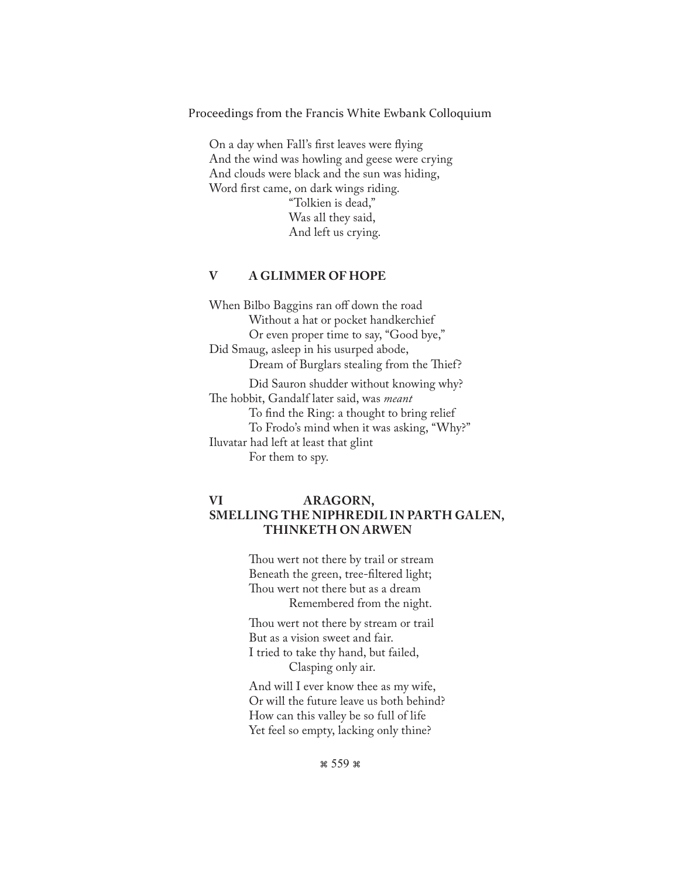On a day when Fall's first leaves were flying And the wind was howling and geese were crying And clouds were black and the sun was hiding, Word first came, on dark wings riding. "Tolkien is dead," Was all they said, And left us crying.

### **V A GLIMMER OF HOPE**

When Bilbo Baggins ran off down the road Without a hat or pocket handkerchief Or even proper time to say, "Good bye," Did Smaug, asleep in his usurped abode, Dream of Burglars stealing from the Thief? Did Sauron shudder without knowing why? The hobbit, Gandalf later said, was *meant* To find the Ring: a thought to bring relief To Frodo's mind when it was asking, "Why?" Iluvatar had left at least that glint For them to spy.

## **VI ARAGORN, SMELLING THE NIPHREDIL IN PARTH GALEN, THINKETH ON ARWEN**

 Thou wert not there by trail or stream Beneath the green, tree-filtered light; Thou wert not there but as a dream Remembered from the night.

 Thou wert not there by stream or trail But as a vision sweet and fair. I tried to take thy hand, but failed, Clasping only air.

 And will I ever know thee as my wife, Or will the future leave us both behind? How can this valley be so full of life Yet feel so empty, lacking only thine?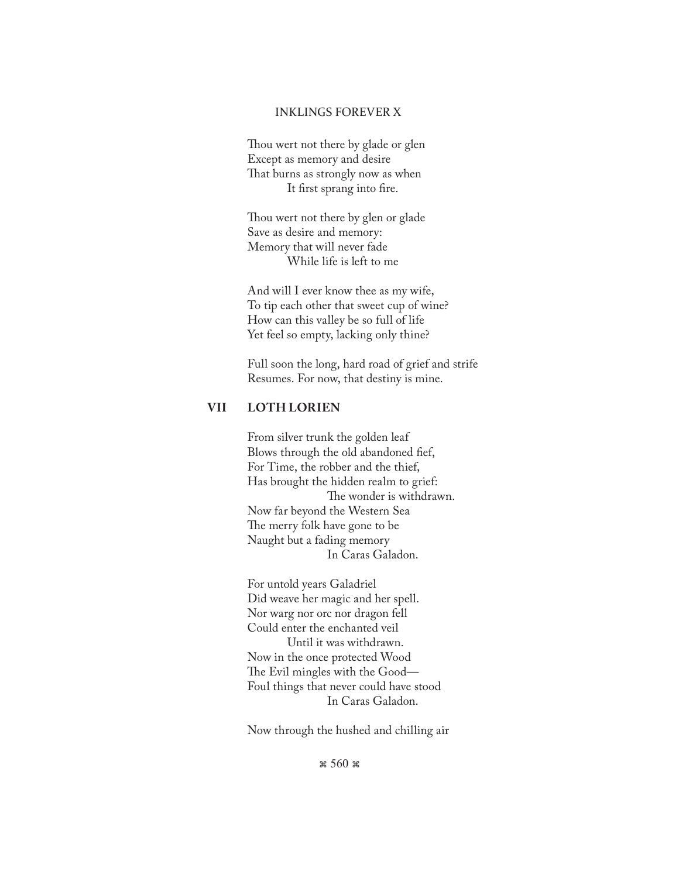#### INKLINGS FOREVER X

 Thou wert not there by glade or glen Except as memory and desire That burns as strongly now as when It first sprang into fire.

 Thou wert not there by glen or glade Save as desire and memory: Memory that will never fade While life is left to me

 And will I ever know thee as my wife, To tip each other that sweet cup of wine? How can this valley be so full of life Yet feel so empty, lacking only thine?

 Full soon the long, hard road of grief and strife Resumes. For now, that destiny is mine.

## **VII LOTH LORIEN**

 From silver trunk the golden leaf Blows through the old abandoned fief, For Time, the robber and the thief, Has brought the hidden realm to grief: The wonder is withdrawn. Now far beyond the Western Sea The merry folk have gone to be Naught but a fading memory In Caras Galadon.

 For untold years Galadriel Did weave her magic and her spell. Nor warg nor orc nor dragon fell Could enter the enchanted veil Until it was withdrawn. Now in the once protected Wood The Evil mingles with the Good— Foul things that never could have stood In Caras Galadon.

Now through the hushed and chilling air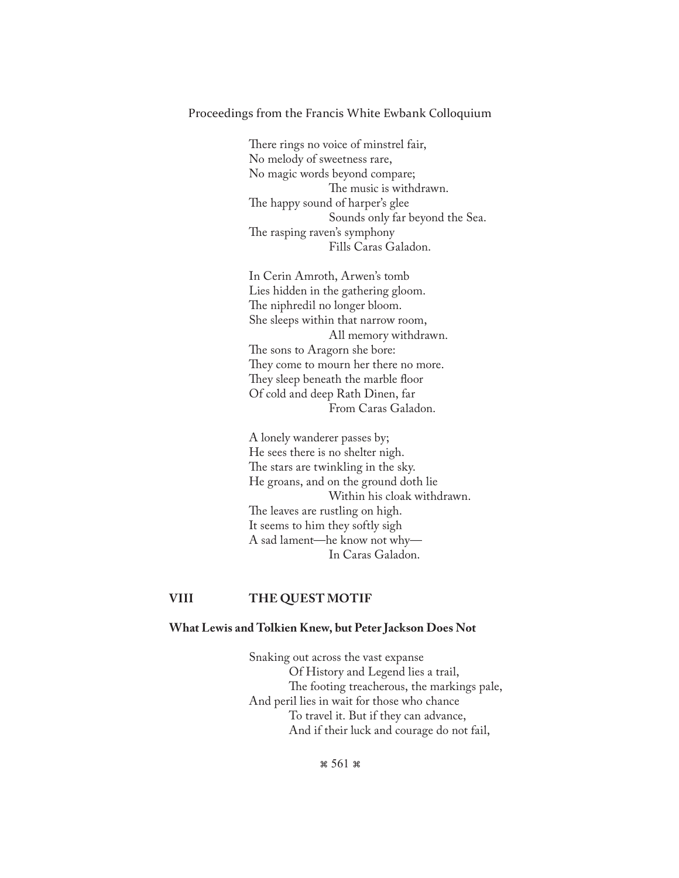There rings no voice of minstrel fair, No melody of sweetness rare, No magic words beyond compare; The music is withdrawn. The happy sound of harper's glee Sounds only far beyond the Sea. The rasping raven's symphony Fills Caras Galadon.

 In Cerin Amroth, Arwen's tomb Lies hidden in the gathering gloom. The niphredil no longer bloom. She sleeps within that narrow room, All memory withdrawn. The sons to Aragorn she bore: They come to mourn her there no more. They sleep beneath the marble floor Of cold and deep Rath Dinen, far From Caras Galadon.

 A lonely wanderer passes by; He sees there is no shelter nigh. The stars are twinkling in the sky. He groans, and on the ground doth lie Within his cloak withdrawn. The leaves are rustling on high. It seems to him they softly sigh A sad lament—he know not why— In Caras Galadon.

### **VIII THE QUEST MOTIF**

#### **What Lewis and Tolkien Knew, but Peter Jackson Does Not**

 Snaking out across the vast expanse Of History and Legend lies a trail, The footing treacherous, the markings pale, And peril lies in wait for those who chance To travel it. But if they can advance, And if their luck and courage do not fail,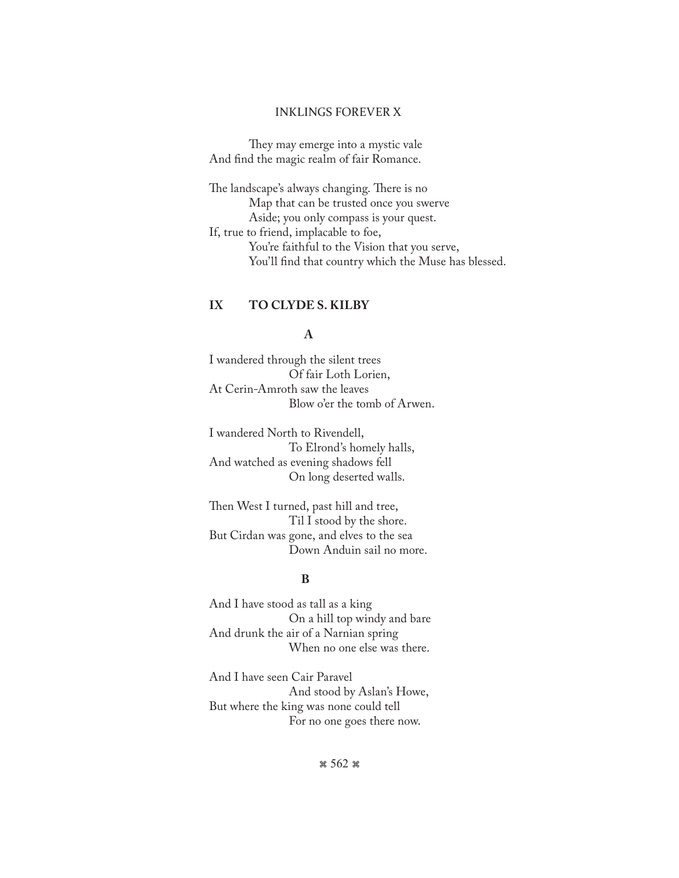#### INKLINGS FOREVER X

 They may emerge into a mystic vale And find the magic realm of fair Romance.

The landscape's always changing. There is no Map that can be trusted once you swerve Aside; you only compass is your quest. If, true to friend, implacable to foe, You're faithful to the Vision that you serve, You'll find that country which the Muse has blessed.

## **IX TO CLYDE S. KILBY**

### **A**

I wandered through the silent trees Of fair Loth Lorien, At Cerin-Amroth saw the leaves Blow o'er the tomb of Arwen.

I wandered North to Rivendell, To Elrond's homely halls, And watched as evening shadows fell On long deserted walls.

Then West I turned, past hill and tree, Til I stood by the shore. But Cirdan was gone, and elves to the sea Down Anduin sail no more.

## **B**

And I have stood as tall as a king On a hill top windy and bare And drunk the air of a Narnian spring When no one else was there.

And I have seen Cair Paravel And stood by Aslan's Howe, But where the king was none could tell For no one goes there now.